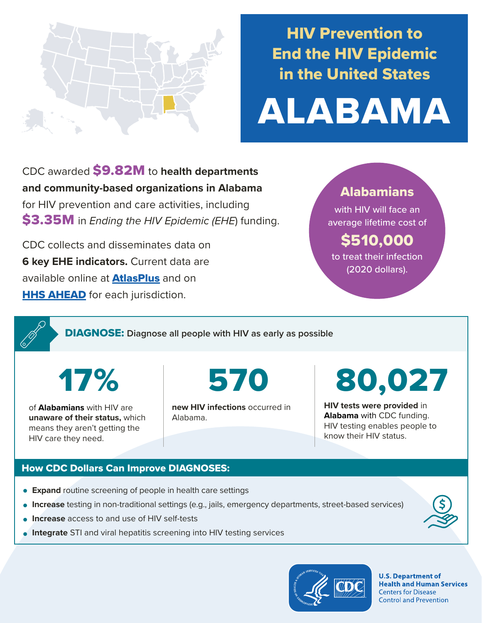

## HIV Prevention to End the HIV Epidemic in the United States

# ALABAMA

CDC awarded \$9.82M to **health departments and community-based organizations in Alabama**  for HIV prevention and care activities, including \$3.35M in *Ending the HIV Epidemic (EHE*) funding.

CDC collects and disseminates data on **6 key EHE indicators.** Current data are available online at **[AtlasPlus](https://www.cdc.gov/nchhstp/atlas/index.htm)** and on **[HHS AHEAD](https://ahead.hiv.gov/)** for each jurisdiction.

### Alabamians

with HIV will face an average lifetime cost of

## \$510,000

to treat their infection (2020 dollars).

DIAGNOSE: **Diagnose all people with HIV as early as possible** 

17% 570

of **Alabamians** with HIV are **unaware of their status,** which means they aren't getting the HIV care they need.

**new HIV infections** occurred in Alabama.

80,027

**HIV tests were provided** in **Alabama** with CDC funding. HIV testing enables people to know their HIV status.

#### How CDC Dollars Can Improve DIAGNOSES:

- **Expand** routine screening of people in health care settings
- **Increase** testing in non-traditional settings (e.g., jails, emergency departments, street-based services)
- **Increase** access to and use of HIV self-tests
- **Integrate** STI and viral hepatitis screening into HIV testing services



**U.S. Department of Health and Human Services Centers for Disease Control and Prevention**